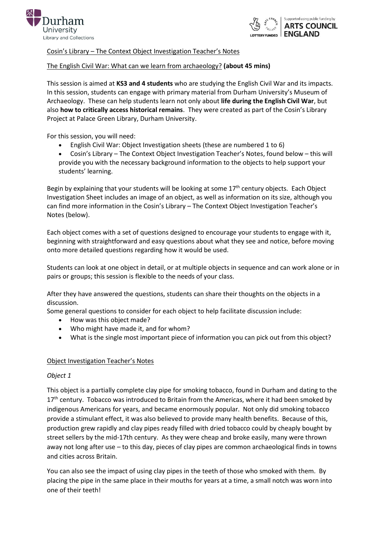



Cosin's Library – The Context Object Investigation Teacher's Notes

# The English Civil War: What can we learn from archaeology? **(about 45 mins)**

This session is aimed at **KS3 and 4 students** who are studying the English Civil War and its impacts. In this session, students can engage with primary material from Durham University's Museum of Archaeology. These can help students learn not only about **life during the English Civil War**, but also **how to critically access historical remains**. They were created as part of the Cosin's Library Project at Palace Green Library, Durham University.

For this session, you will need:

- English Civil War: Object Investigation sheets (these are numbered 1 to 6)
- Cosin's Library The Context Object Investigation Teacher's Notes, found below this will provide you with the necessary background information to the objects to help support your students' learning.

Begin by explaining that your students will be looking at some  $17<sup>th</sup>$  century objects. Each Object Investigation Sheet includes an image of an object, as well as information on its size, although you can find more information in the Cosin's Library – The Context Object Investigation Teacher's Notes (below).

Each object comes with a set of questions designed to encourage your students to engage with it, beginning with straightforward and easy questions about what they see and notice, before moving onto more detailed questions regarding how it would be used.

Students can look at one object in detail, or at multiple objects in sequence and can work alone or in pairs or groups; this session is flexible to the needs of your class.

After they have answered the questions, students can share their thoughts on the objects in a discussion.

Some general questions to consider for each object to help facilitate discussion include:

- How was this object made?
- Who might have made it, and for whom?
- What is the single most important piece of information you can pick out from this object?

## Object Investigation Teacher's Notes

## *Object 1*

This object is a partially complete clay pipe for smoking tobacco, found in Durham and dating to the 17<sup>th</sup> century. Tobacco was introduced to Britain from the Americas, where it had been smoked by indigenous Americans for years, and became enormously popular. Not only did smoking tobacco provide a stimulant effect, it was also believed to provide many health benefits. Because of this, production grew rapidly and clay pipes ready filled with dried tobacco could by cheaply bought by street sellers by the mid-17th century. As they were cheap and broke easily, many were thrown away not long after use – to this day, pieces of clay pipes are common archaeological finds in towns and cities across Britain.

You can also see the impact of using clay pipes in the teeth of those who smoked with them. By placing the pipe in the same place in their mouths for years at a time, a small notch was worn into one of their teeth!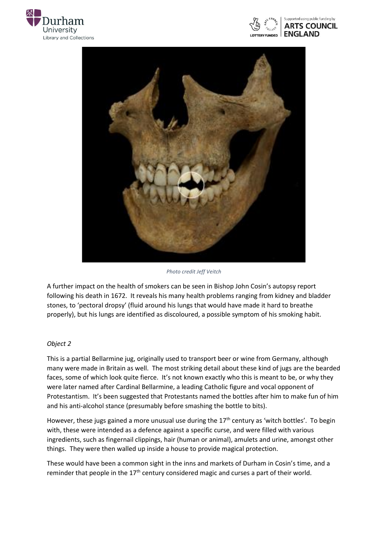





*Photo credit Jeff Veitch*

A further impact on the health of smokers can be seen in Bishop John Cosin's autopsy report following his death in 1672. It reveals his many health problems ranging from kidney and bladder stones, to 'pectoral dropsy' (fluid around his lungs that would have made it hard to breathe properly), but his lungs are identified as discoloured, a possible symptom of his smoking habit.

## *Object 2*

This is a partial Bellarmine jug, originally used to transport beer or wine from Germany, although many were made in Britain as well. The most striking detail about these kind of jugs are the bearded faces, some of which look quite fierce. It's not known exactly who this is meant to be, or why they were later named after Cardinal Bellarmine, a leading Catholic figure and vocal opponent of Protestantism. It's been suggested that Protestants named the bottles after him to make fun of him and his anti-alcohol stance (presumably before smashing the bottle to bits).

However, these jugs gained a more unusual use during the  $17<sup>th</sup>$  century as 'witch bottles'. To begin with, these were intended as a defence against a specific curse, and were filled with various ingredients, such as fingernail clippings, hair (human or animal), amulets and urine, amongst other things. They were then walled up inside a house to provide magical protection.

These would have been a common sight in the inns and markets of Durham in Cosin's time, and a reminder that people in the 17<sup>th</sup> century considered magic and curses a part of their world.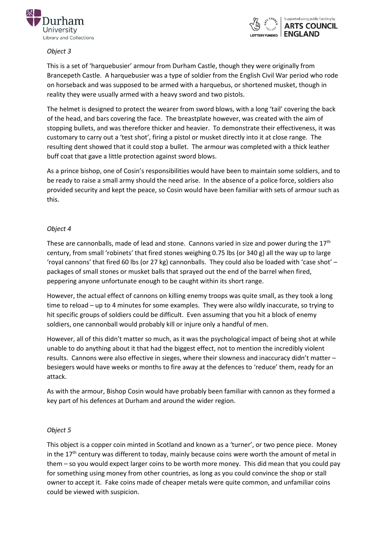



## *Object 3*

This is a set of 'harquebusier' armour from Durham Castle, though they were originally from Brancepeth Castle. A harquebusier was a type of soldier from the English Civil War period who rode on horseback and was supposed to be armed with a harquebus, or shortened musket, though in reality they were usually armed with a heavy sword and two pistols.

The helmet is designed to protect the wearer from sword blows, with a long 'tail' covering the back of the head, and bars covering the face. The breastplate however, was created with the aim of stopping bullets, and was therefore thicker and heavier. To demonstrate their effectiveness, it was customary to carry out a 'test shot', firing a pistol or musket directly into it at close range. The resulting dent showed that it could stop a bullet. The armour was completed with a thick leather buff coat that gave a little protection against sword blows.

As a prince bishop, one of Cosin's responsibilities would have been to maintain some soldiers, and to be ready to raise a small army should the need arise. In the absence of a police force, soldiers also provided security and kept the peace, so Cosin would have been familiar with sets of armour such as this.

# *Object 4*

These are cannonballs, made of lead and stone. Cannons varied in size and power during the 17<sup>th</sup> century, from small 'robinets' that fired stones weighing 0.75 lbs (or 340 g) all the way up to large 'royal cannons' that fired 60 lbs (or 27 kg) cannonballs. They could also be loaded with 'case shot' – packages of small stones or musket balls that sprayed out the end of the barrel when fired, peppering anyone unfortunate enough to be caught within its short range.

However, the actual effect of cannons on killing enemy troops was quite small, as they took a long time to reload – up to 4 minutes for some examples. They were also wildly inaccurate, so trying to hit specific groups of soldiers could be difficult. Even assuming that you hit a block of enemy soldiers, one cannonball would probably kill or injure only a handful of men.

However, all of this didn't matter so much, as it was the psychological impact of being shot at while unable to do anything about it that had the biggest effect, not to mention the incredibly violent results. Cannons were also effective in sieges, where their slowness and inaccuracy didn't matter – besiegers would have weeks or months to fire away at the defences to 'reduce' them, ready for an attack.

As with the armour, Bishop Cosin would have probably been familiar with cannon as they formed a key part of his defences at Durham and around the wider region.

# *Object 5*

This object is a copper coin minted in Scotland and known as a 'turner', or two pence piece. Money in the  $17<sup>th</sup>$  century was different to today, mainly because coins were worth the amount of metal in them – so you would expect larger coins to be worth more money. This did mean that you could pay for something using money from other countries, as long as you could convince the shop or stall owner to accept it. Fake coins made of cheaper metals were quite common, and unfamiliar coins could be viewed with suspicion.